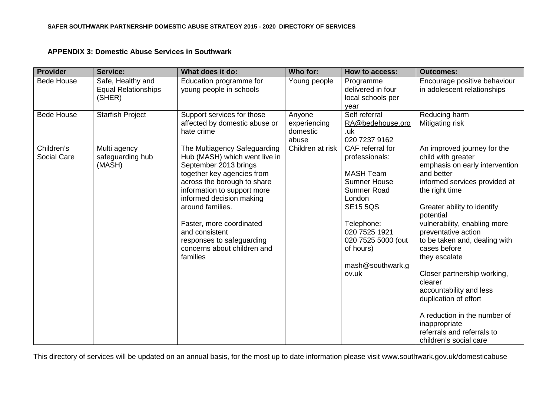## **APPENDIX 3: Domestic Abuse Services in Southwark**

| <b>Provider</b>           | <b>Service:</b>                                           | What does it do:                                                                                                                                                                                                                                                                                                                                         | Who for:                                    | How to access:                                                                                                                                                                                                           | <b>Outcomes:</b>                                                                                                                                                                                                                                                                                                                                                                                                                                                                                                                 |
|---------------------------|-----------------------------------------------------------|----------------------------------------------------------------------------------------------------------------------------------------------------------------------------------------------------------------------------------------------------------------------------------------------------------------------------------------------------------|---------------------------------------------|--------------------------------------------------------------------------------------------------------------------------------------------------------------------------------------------------------------------------|----------------------------------------------------------------------------------------------------------------------------------------------------------------------------------------------------------------------------------------------------------------------------------------------------------------------------------------------------------------------------------------------------------------------------------------------------------------------------------------------------------------------------------|
| <b>Bede House</b>         | Safe, Healthy and<br><b>Equal Relationships</b><br>(SHER) | Education programme for<br>young people in schools                                                                                                                                                                                                                                                                                                       | Young people                                | Programme<br>delivered in four<br>local schools per<br>year                                                                                                                                                              | Encourage positive behaviour<br>in adolescent relationships                                                                                                                                                                                                                                                                                                                                                                                                                                                                      |
| <b>Bede House</b>         | <b>Starfish Project</b>                                   | Support services for those<br>affected by domestic abuse or<br>hate crime                                                                                                                                                                                                                                                                                | Anyone<br>experiencing<br>domestic<br>abuse | Self referral<br>RA@bedehouse.org<br><u>.uk</u><br>020 7237 9162                                                                                                                                                         | Reducing harm<br>Mitigating risk                                                                                                                                                                                                                                                                                                                                                                                                                                                                                                 |
| Children's<br>Social Care | Multi agency<br>safeguarding hub<br>(MASH)                | The Multiagency Safeguarding<br>Hub (MASH) which went live in<br>September 2013 brings<br>together key agencies from<br>across the borough to share<br>information to support more<br>informed decision making<br>around families.<br>Faster, more coordinated<br>and consistent<br>responses to safeguarding<br>concerns about children and<br>families | Children at risk                            | CAF referral for<br>professionals:<br><b>MASH Team</b><br><b>Sumner House</b><br>Sumner Road<br>London<br><b>SE15 5QS</b><br>Telephone:<br>020 7525 1921<br>020 7525 5000 (out<br>of hours)<br>mash@southwark.g<br>ov.uk | An improved journey for the<br>child with greater<br>emphasis on early intervention<br>and better<br>informed services provided at<br>the right time<br>Greater ability to identify<br>potential<br>vulnerability, enabling more<br>preventative action<br>to be taken and, dealing with<br>cases before<br>they escalate<br>Closer partnership working,<br>clearer<br>accountability and less<br>duplication of effort<br>A reduction in the number of<br>inappropriate<br>referrals and referrals to<br>children's social care |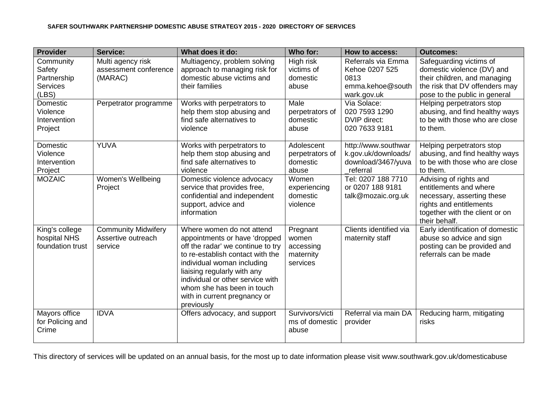| <b>Provider</b>                                                | <b>Service:</b>                                             | What does it do:                                                                                                                                                                                                                                                                                                 | Who for:                                                | <b>How to access:</b>                                                           | <b>Outcomes:</b>                                                                                                                                             |
|----------------------------------------------------------------|-------------------------------------------------------------|------------------------------------------------------------------------------------------------------------------------------------------------------------------------------------------------------------------------------------------------------------------------------------------------------------------|---------------------------------------------------------|---------------------------------------------------------------------------------|--------------------------------------------------------------------------------------------------------------------------------------------------------------|
| Community<br>Safety<br>Partnership<br><b>Services</b><br>(LES) | Multi agency risk<br>assessment conference<br>(MARAC)       | Multiagency, problem solving<br>approach to managing risk for<br>domestic abuse victims and<br>their families                                                                                                                                                                                                    | High risk<br>victims of<br>domestic<br>abuse            | Referrals via Emma<br>Kehoe 0207 525<br>0813<br>emma.kehoe@south<br>wark.gov.uk | Safeguarding victims of<br>domestic violence (DV) and<br>their children, and managing<br>the risk that DV offenders may<br>pose to the public in general     |
| Domestic<br>Violence<br>Intervention<br>Project                | Perpetrator programme                                       | Works with perpetrators to<br>help them stop abusing and<br>find safe alternatives to<br>violence                                                                                                                                                                                                                | Male<br>perpetrators of<br>domestic<br>abuse            | Via Solace:<br>020 7593 1290<br>DVIP direct:<br>020 7633 9181                   | Helping perpetrators stop<br>abusing, and find healthy ways<br>to be with those who are close<br>to them.                                                    |
| Domestic<br>Violence<br>Intervention<br>Project                | <b>YUVA</b>                                                 | Works with perpetrators to<br>help them stop abusing and<br>find safe alternatives to<br>violence                                                                                                                                                                                                                | Adolescent<br>perpetrators of<br>domestic<br>abuse      | http://www.southwar<br>k.gov.uk/downloads/<br>download/3467/yuva<br>referral    | Helping perpetrators stop<br>abusing, and find healthy ways<br>to be with those who are close<br>to them.                                                    |
| <b>MOZAIC</b>                                                  | Women's Wellbeing<br>Project                                | Domestic violence advocacy<br>service that provides free,<br>confidential and independent<br>support, advice and<br>information                                                                                                                                                                                  | Women<br>experiencing<br>domestic<br>violence           | Tel: 0207 188 7710<br>or 0207 188 9181<br>talk@mozaic.org.uk                    | Advising of rights and<br>entitlements and where<br>necessary, asserting these<br>rights and entitlements<br>together with the client or on<br>their behalf. |
| King's college<br>hospital NHS<br>foundation trust             | <b>Community Midwifery</b><br>Assertive outreach<br>service | Where women do not attend<br>appointments or have 'dropped<br>off the radar' we continue to try<br>to re-establish contact with the<br>individual woman including<br>liaising regularly with any<br>individual or other service with<br>whom she has been in touch<br>with in current pregnancy or<br>previously | Pregnant<br>women<br>accessing<br>maternity<br>services | Clients identified via<br>maternity staff                                       | Early identification of domestic<br>abuse so advice and sign<br>posting can be provided and<br>referrals can be made                                         |
| Mayors office<br>for Policing and<br>Crime                     | <b>IDVA</b>                                                 | Offers advocacy, and support                                                                                                                                                                                                                                                                                     | Survivors/victi<br>ms of domestic<br>abuse              | Referral via main DA<br>provider                                                | Reducing harm, mitigating<br>risks                                                                                                                           |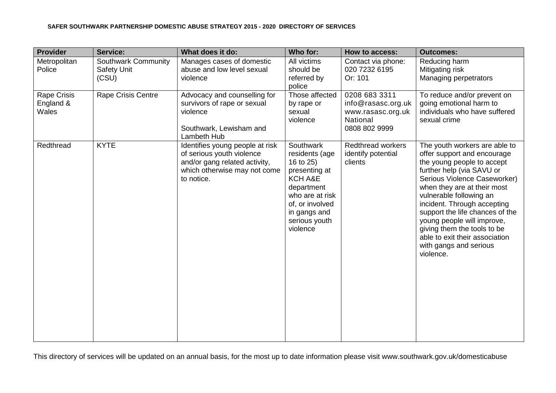### **SAFER SOUTHWARK PARTNERSHIP DOMESTIC ABUSE STRATEGY 2015 - 2020 DIRECTORY OF SERVICES**

| <b>Provider</b>                                 | <b>Service:</b>                                    | What does it do:                                                                                                                            | Who for:                                                                                                                                                              | How to access:                                                                        | <b>Outcomes:</b>                                                                                                                                                                                                                                                                                                                                                                                                          |
|-------------------------------------------------|----------------------------------------------------|---------------------------------------------------------------------------------------------------------------------------------------------|-----------------------------------------------------------------------------------------------------------------------------------------------------------------------|---------------------------------------------------------------------------------------|---------------------------------------------------------------------------------------------------------------------------------------------------------------------------------------------------------------------------------------------------------------------------------------------------------------------------------------------------------------------------------------------------------------------------|
| Metropolitan<br>Police                          | Southwark Community<br><b>Safety Unit</b><br>(CSU) | Manages cases of domestic<br>abuse and low level sexual<br>violence                                                                         | All victims<br>should be<br>referred by<br>police                                                                                                                     | Contact via phone:<br>020 7232 6195<br>Or: 101                                        | Reducing harm<br>Mitigating risk<br>Managing perpetrators                                                                                                                                                                                                                                                                                                                                                                 |
| <b>Rape Crisis</b><br>England &<br><b>Wales</b> | Rape Crisis Centre                                 | Advocacy and counselling for<br>survivors of rape or sexual<br>violence<br>Southwark, Lewisham and<br>Lambeth Hub                           | Those affected<br>by rape or<br>sexual<br>violence                                                                                                                    | 0208 683 3311<br>info@rasasc.org.uk<br>www.rasasc.org.uk<br>National<br>0808 802 9999 | To reduce and/or prevent on<br>going emotional harm to<br>individuals who have suffered<br>sexual crime                                                                                                                                                                                                                                                                                                                   |
| Redthread                                       | <b>KYTE</b>                                        | Identifies young people at risk<br>of serious youth violence<br>and/or gang related activity,<br>which otherwise may not come<br>to notice. | Southwark<br>residents (age<br>16 to 25)<br>presenting at<br>KCH A&E<br>department<br>who are at risk<br>of, or involved<br>in gangs and<br>serious youth<br>violence | <b>Redthread workers</b><br>identify potential<br>clients                             | The youth workers are able to<br>offer support and encourage<br>the young people to accept<br>further help (via SAVU or<br>Serious Violence Caseworker)<br>when they are at their most<br>vulnerable following an<br>incident. Through accepting<br>support the life chances of the<br>young people will improve,<br>giving them the tools to be<br>able to exit their association<br>with gangs and serious<br>violence. |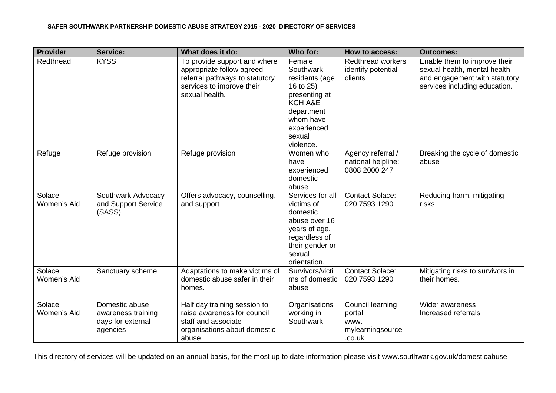### **SAFER SOUTHWARK PARTNERSHIP DOMESTIC ABUSE STRATEGY 2015 - 2020 DIRECTORY OF SERVICES**

| <b>Provider</b>       | <b>Service:</b>                                                       | What does it do:                                                                                                                           | Who for:                                                                                                                                        | How to access:                                                   | <b>Outcomes:</b>                                                                                                               |
|-----------------------|-----------------------------------------------------------------------|--------------------------------------------------------------------------------------------------------------------------------------------|-------------------------------------------------------------------------------------------------------------------------------------------------|------------------------------------------------------------------|--------------------------------------------------------------------------------------------------------------------------------|
| Redthread             | <b>KYSS</b>                                                           | To provide support and where<br>appropriate follow agreed<br>referral pathways to statutory<br>services to improve their<br>sexual health. | Female<br>Southwark<br>residents (age<br>16 to 25)<br>presenting at<br>KCH A&E<br>department<br>whom have<br>experienced<br>sexual<br>violence. | <b>Redthread workers</b><br>identify potential<br>clients        | Enable them to improve their<br>sexual health, mental health<br>and engagement with statutory<br>services including education. |
| Refuge                | Refuge provision                                                      | Refuge provision                                                                                                                           | Women who<br>have<br>experienced<br>domestic<br>abuse                                                                                           | Agency referral /<br>national helpline:<br>0808 2000 247         | Breaking the cycle of domestic<br>abuse                                                                                        |
| Solace<br>Women's Aid | Southwark Advocacy<br>and Support Service<br>(SASS)                   | Offers advocacy, counselling,<br>and support                                                                                               | Services for all<br>victims of<br>domestic<br>abuse over 16<br>years of age,<br>regardless of<br>their gender or<br>sexual<br>orientation.      | <b>Contact Solace:</b><br>020 7593 1290                          | Reducing harm, mitigating<br>risks                                                                                             |
| Solace<br>Women's Aid | Sanctuary scheme                                                      | Adaptations to make victims of<br>domestic abuse safer in their<br>homes.                                                                  | Survivors/victi<br>ms of domestic<br>abuse                                                                                                      | <b>Contact Solace:</b><br>020 7593 1290                          | Mitigating risks to survivors in<br>their homes.                                                                               |
| Solace<br>Women's Aid | Domestic abuse<br>awareness training<br>days for external<br>agencies | Half day training session to<br>raise awareness for council<br>staff and associate<br>organisations about domestic<br>abuse                | Organisations<br>working in<br>Southwark                                                                                                        | Council learning<br>portal<br>www.<br>mylearningsource<br>.co.uk | Wider awareness<br>Increased referrals                                                                                         |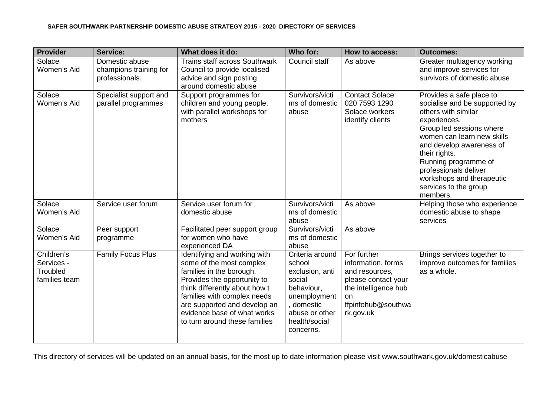| <b>Provider</b>                                       | Service:                                                   | What does it do:                                                                                                                                                                                                                                                                    | Who for:                                                                                                                                           | How to access:                                                                                                                              | <b>Outcomes:</b>                                                                                                                                                                                                                                                                                                           |
|-------------------------------------------------------|------------------------------------------------------------|-------------------------------------------------------------------------------------------------------------------------------------------------------------------------------------------------------------------------------------------------------------------------------------|----------------------------------------------------------------------------------------------------------------------------------------------------|---------------------------------------------------------------------------------------------------------------------------------------------|----------------------------------------------------------------------------------------------------------------------------------------------------------------------------------------------------------------------------------------------------------------------------------------------------------------------------|
| Solace<br>Women's Aid                                 | Domestic abuse<br>champions training for<br>professionals. | <b>Trains staff across Southwark</b><br>Council to provide localised<br>advice and sign posting<br>around domestic abuse                                                                                                                                                            | Council staff                                                                                                                                      | As above                                                                                                                                    | Greater multiagency working<br>and improve services for<br>survivors of domestic abuse                                                                                                                                                                                                                                     |
| Solace<br>Women's Aid                                 | Specialist support and<br>parallel programmes              | Support programmes for<br>children and young people,<br>with parallel workshops for<br>mothers                                                                                                                                                                                      | Survivors/victi<br>ms of domestic<br>abuse                                                                                                         | <b>Contact Solace:</b><br>020 7593 1290<br>Solace workers<br>identify clients                                                               | Provides a safe place to<br>socialise and be supported by<br>others with similar<br>experiences.<br>Group led sessions where<br>women can learn new skills<br>and develop awareness of<br>their rights.<br>Running programme of<br>professionals deliver<br>workshops and therapeutic<br>services to the group<br>members. |
| Solace<br>Women's Aid                                 | Service user forum                                         | Service user forum for<br>domestic abuse                                                                                                                                                                                                                                            | Survivors/victi<br>ms of domestic<br>abuse                                                                                                         | As above                                                                                                                                    | Helping those who experience<br>domestic abuse to shape<br>services                                                                                                                                                                                                                                                        |
| Solace<br>Women's Aid                                 | Peer support<br>programme                                  | Facilitated peer support group<br>for women who have<br>experienced DA                                                                                                                                                                                                              | Survivors/victi<br>ms of domestic<br>abuse                                                                                                         | As above                                                                                                                                    |                                                                                                                                                                                                                                                                                                                            |
| Children's<br>Services -<br>Troubled<br>families team | <b>Family Focus Plus</b>                                   | Identifying and working with<br>some of the most complex<br>families in the borough.<br>Provides the opportunity to<br>think differently about how t<br>families with complex needs<br>are supported and develop an<br>evidence base of what works<br>to turn around these families | Criteria around<br>school<br>exclusion, anti<br>social<br>behaviour,<br>unemployment<br>, domestic<br>abuse or other<br>health/social<br>concerns. | For further<br>information, forms<br>and resources,<br>please contact your<br>the intelligence hub<br>on<br>ffpinfohub@southwa<br>rk.gov.uk | Brings services together to<br>improve outcomes for families<br>as a whole.                                                                                                                                                                                                                                                |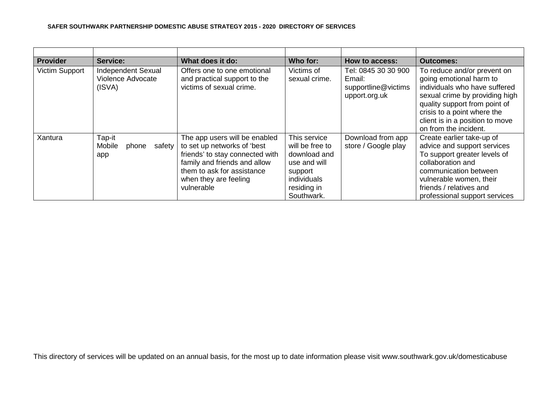### **SAFER SOUTHWARK PARTNERSHIP DOMESTIC ABUSE STRATEGY 2015 - 2020 DIRECTORY OF SERVICES**

| <b>Provider</b> | Service:                                                 | What does it do:                                                                                                                                                                                     |                                                                                                                        | How to access:                                                        | <b>Outcomes:</b>                                                                                                                                                                                                                                      |
|-----------------|----------------------------------------------------------|------------------------------------------------------------------------------------------------------------------------------------------------------------------------------------------------------|------------------------------------------------------------------------------------------------------------------------|-----------------------------------------------------------------------|-------------------------------------------------------------------------------------------------------------------------------------------------------------------------------------------------------------------------------------------------------|
| Victim Support  | <b>Independent Sexual</b><br>Violence Advocate<br>(ISVA) | Offers one to one emotional<br>and practical support to the<br>victims of sexual crime.                                                                                                              | Victims of<br>sexual crime.                                                                                            | Tel: 0845 30 30 900<br>Email:<br>supportline@victims<br>upport.org.uk | To reduce and/or prevent on<br>going emotional harm to<br>individuals who have suffered<br>sexual crime by providing high<br>quality support from point of<br>crisis to a point where the<br>client is in a position to move<br>on from the incident. |
| Xantura         | Tap-it<br>Mobile<br>phone<br>safety<br>app               | The app users will be enabled<br>to set up networks of 'best<br>friends' to stay connected with<br>family and friends and allow<br>them to ask for assistance<br>when they are feeling<br>vulnerable | This service<br>will be free to<br>download and<br>use and will<br>support<br>individuals<br>residing in<br>Southwark. | Download from app<br>store / Google play                              | Create earlier take-up of<br>advice and support services<br>To support greater levels of<br>collaboration and<br>communication between<br>vulnerable women, their<br>friends / relatives and<br>professional support services                         |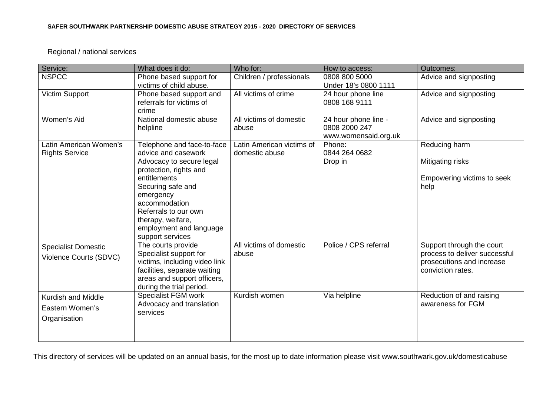# Regional / national services

| Advice and signposting<br>Advice and signposting<br>Advice and signposting      |
|---------------------------------------------------------------------------------|
|                                                                                 |
|                                                                                 |
|                                                                                 |
| Reducing harm                                                                   |
| Mitigating risks                                                                |
| Empowering victims to seek<br>help                                              |
|                                                                                 |
|                                                                                 |
|                                                                                 |
| Support through the court                                                       |
| process to deliver successful<br>prosecutions and increase<br>conviction rates. |
| Reduction of and raising                                                        |
| awareness for FGM                                                               |
|                                                                                 |